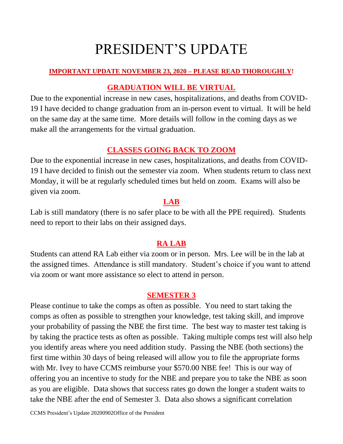# PRESIDENT'S UPDATE

#### **IMPORTANT UPDATE NOVEMBER 23, 2020 – PLEASE READ THOROUGHLY!**

## **GRADUATION WILL BE VIRTUAL**

Due to the exponential increase in new cases, hospitalizations, and deaths from COVID-19 I have decided to change graduation from an in-person event to virtual. It will be held on the same day at the same time. More details will follow in the coming days as we make all the arrangements for the virtual graduation.

## **CLASSES GOING BACK TO ZOOM**

Due to the exponential increase in new cases, hospitalizations, and deaths from COVID-19 I have decided to finish out the semester via zoom. When students return to class next Monday, it will be at regularly scheduled times but held on zoom. Exams will also be given via zoom.

#### **LAB**

Lab is still mandatory (there is no safer place to be with all the PPE required). Students need to report to their labs on their assigned days.

## **RA LAB**

Students can attend RA Lab either via zoom or in person. Mrs. Lee will be in the lab at the assigned times. Attendance is still mandatory. Student's choice if you want to attend via zoom or want more assistance so elect to attend in person.

#### **SEMESTER 3**

Please continue to take the comps as often as possible. You need to start taking the comps as often as possible to strengthen your knowledge, test taking skill, and improve your probability of passing the NBE the first time. The best way to master test taking is by taking the practice tests as often as possible. Taking multiple comps test will also help you identify areas where you need addition study. Passing the NBE (both sections) the first time within 30 days of being released will allow you to file the appropriate forms with Mr. Ivey to have CCMS reimburse your \$570.00 NBE fee! This is our way of offering you an incentive to study for the NBE and prepare you to take the NBE as soon as you are eligible. Data shows that success rates go down the longer a student waits to take the NBE after the end of Semester 3. Data also shows a significant correlation

CCMS President's Update 20200902Office of the President